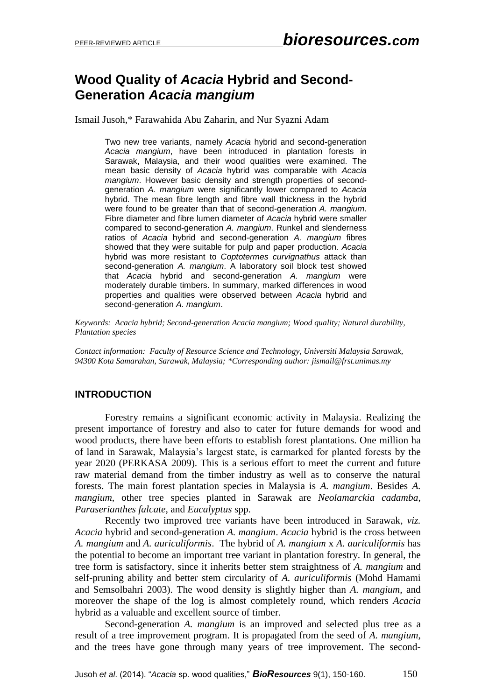# **Wood Quality of** *Acacia* **Hybrid and Second-Generation** *Acacia mangium*

Ismail Jusoh,\* Farawahida Abu Zaharin, and Nur Syazni Adam

Two new tree variants, namely *Acacia* hybrid and second-generation *Acacia mangium*, have been introduced in plantation forests in Sarawak, Malaysia, and their wood qualities were examined. The mean basic density of *Acacia* hybrid was comparable with *Acacia mangium*. However basic density and strength properties of secondgeneration *A. mangium* were significantly lower compared to *Acacia*  hybrid. The mean fibre length and fibre wall thickness in the hybrid were found to be greater than that of second-generation *A. mangium*. Fibre diameter and fibre lumen diameter of *Acacia* hybrid were smaller compared to second-generation *A. mangium*. Runkel and slenderness ratios of *Acacia* hybrid and second-generation *A. mangium* fibres showed that they were suitable for pulp and paper production. *Acacia* hybrid was more resistant to *Coptotermes curvignathus* attack than second-generation *A. mangium*. A laboratory soil block test showed that *Acacia* hybrid and second-generation *A. mangium* were moderately durable timbers. In summary, marked differences in wood properties and qualities were observed between *Acacia* hybrid and second-generation *A. mangium*.

*Keywords: Acacia hybrid; Second-generation Acacia mangium; Wood quality; Natural durability, Plantation species*

*Contact information: Faculty of Resource Science and Technology, Universiti Malaysia Sarawak, 94300 Kota Samarahan, Sarawak, Malaysia; \*Corresponding author: jismail@frst.unimas.my*

## **INTRODUCTION**

Forestry remains a significant economic activity in Malaysia. Realizing the present importance of forestry and also to cater for future demands for wood and wood products, there have been efforts to establish forest plantations. One million ha of land in Sarawak, Malaysia's largest state, is earmarked for planted forests by the year 2020 (PERKASA 2009). This is a serious effort to meet the current and future raw material demand from the timber industry as well as to conserve the natural forests. The main forest plantation species in Malaysia is *A. mangium*. Besides *A. mangium*, other tree species planted in Sarawak are *Neolamarckia cadamba*, *Paraserianthes falcate*, and *Eucalyptus* spp.

Recently two improved tree variants have been introduced in Sarawak, *viz. Acacia* hybrid and second-generation *A. mangium*. *Acacia* hybrid is the cross between *A. mangium* and *A. auriculiformis*. The hybrid of *A. mangium* x *A. auriculiformis* has the potential to become an important tree variant in plantation forestry. In general, the tree form is satisfactory, since it inherits better stem straightness of *A. mangium* and self-pruning ability and better stem circularity of *A. auriculiformis* (Mohd Hamami and Semsolbahri 2003). The wood density is slightly higher than *A. mangium*, and moreover the shape of the log is almost completely round, which renders *Acacia* hybrid as a valuable and excellent source of timber.

Second-generation *A. mangium* is an improved and selected plus tree as a result of a tree improvement program. It is propagated from the seed of *A. mangium*, and the trees have gone through many years of tree improvement. The second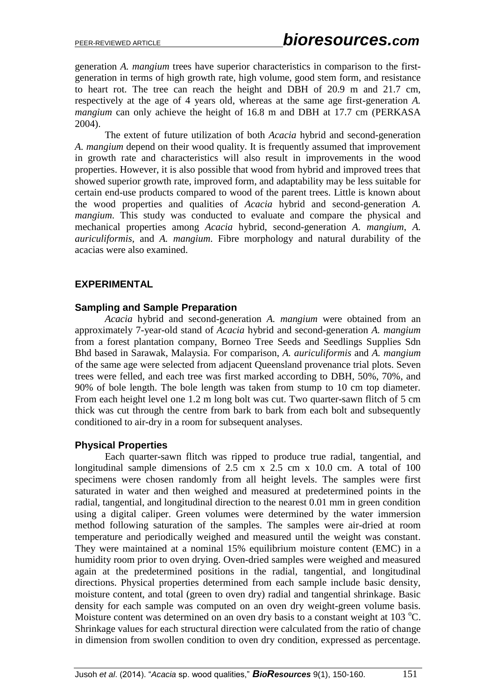generation *A. mangium* trees have superior characteristics in comparison to the firstgeneration in terms of high growth rate, high volume, good stem form, and resistance to heart rot. The tree can reach the height and DBH of 20.9 m and 21.7 cm, respectively at the age of 4 years old, whereas at the same age first-generation *A. mangium* can only achieve the height of 16.8 m and DBH at 17.7 cm (PERKASA 2004).

The extent of future utilization of both *Acacia* hybrid and second-generation *A. mangium* depend on their wood quality. It is frequently assumed that improvement in growth rate and characteristics will also result in improvements in the wood properties. However, it is also possible that wood from hybrid and improved trees that showed superior growth rate, improved form, and adaptability may be less suitable for certain end-use products compared to wood of the parent trees. Little is known about the wood properties and qualities of *Acacia* hybrid and second-generation *A. mangium*. This study was conducted to evaluate and compare the physical and mechanical properties among *Acacia* hybrid, second-generation *A. mangium*, *A. auriculiformis*, and *A. mangium*. Fibre morphology and natural durability of the acacias were also examined.

## **EXPERIMENTAL**

#### **Sampling and Sample Preparation**

*Acacia* hybrid and second-generation *A. mangium* were obtained from an approximately 7-year-old stand of *Acacia* hybrid and second-generation *A. mangium* from a forest plantation company, Borneo Tree Seeds and Seedlings Supplies Sdn Bhd based in Sarawak, Malaysia. For comparison, *A. auriculiformis* and *A. mangium*  of the same age were selected from adjacent Queensland provenance trial plots. Seven trees were felled, and each tree was first marked according to DBH, 50%, 70%, and 90% of bole length. The bole length was taken from stump to 10 cm top diameter. From each height level one 1.2 m long bolt was cut. Two quarter-sawn flitch of 5 cm thick was cut through the centre from bark to bark from each bolt and subsequently conditioned to air-dry in a room for subsequent analyses.

## **Physical Properties**

Each quarter-sawn flitch was ripped to produce true radial, tangential, and longitudinal sample dimensions of 2.5 cm x 2.5 cm x 10.0 cm. A total of 100 specimens were chosen randomly from all height levels. The samples were first saturated in water and then weighed and measured at predetermined points in the radial, tangential, and longitudinal direction to the nearest 0.01 mm in green condition using a digital caliper. Green volumes were determined by the water immersion method following saturation of the samples. The samples were air-dried at room temperature and periodically weighed and measured until the weight was constant. They were maintained at a nominal 15% equilibrium moisture content (EMC) in a humidity room prior to oven drying. Oven-dried samples were weighed and measured again at the predetermined positions in the radial, tangential, and longitudinal directions. Physical properties determined from each sample include basic density, moisture content, and total (green to oven dry) radial and tangential shrinkage. Basic density for each sample was computed on an oven dry weight-green volume basis. Moisture content was determined on an oven dry basis to a constant weight at 103  $^{\circ}$ C. Shrinkage values for each structural direction were calculated from the ratio of change in dimension from swollen condition to oven dry condition, expressed as percentage.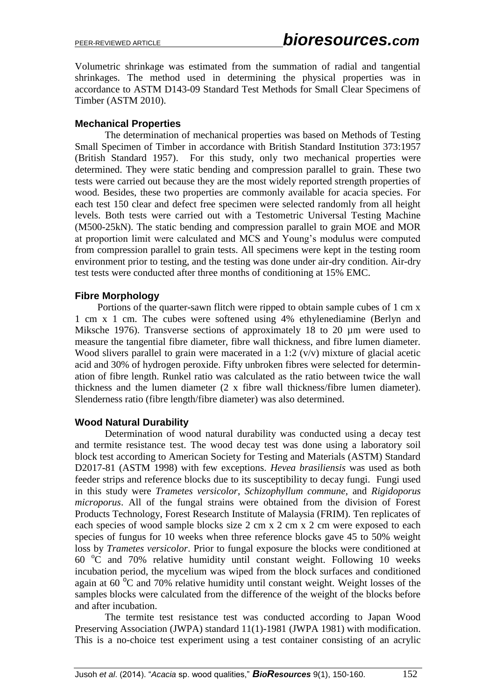Volumetric shrinkage was estimated from the summation of radial and tangential shrinkages. The method used in determining the physical properties was in accordance to ASTM D143-09 Standard Test Methods for Small Clear Specimens of Timber (ASTM 2010).

## **Mechanical Properties**

The determination of mechanical properties was based on Methods of Testing Small Specimen of Timber in accordance with British Standard Institution 373:1957 (British Standard 1957). For this study, only two mechanical properties were determined. They were static bending and compression parallel to grain. These two tests were carried out because they are the most widely reported strength properties of wood. Besides, these two properties are commonly available for acacia species. For each test 150 clear and defect free specimen were selected randomly from all height levels. Both tests were carried out with a Testometric Universal Testing Machine (M500-25kN). The static bending and compression parallel to grain MOE and MOR at proportion limit were calculated and MCS and Young's modulus were computed from compression parallel to grain tests. All specimens were kept in the testing room environment prior to testing, and the testing was done under air-dry condition. Air-dry test tests were conducted after three months of conditioning at 15% EMC.

## **Fibre Morphology**

Portions of the quarter-sawn flitch were ripped to obtain sample cubes of 1 cm x 1 cm x 1 cm. The cubes were softened using 4% ethylenediamine (Berlyn and Miksche 1976). Transverse sections of approximately 18 to 20 µm were used to measure the tangential fibre diameter, fibre wall thickness, and fibre lumen diameter. Wood slivers parallel to grain were macerated in a 1:2 (v/v) mixture of glacial acetic acid and 30% of hydrogen peroxide. Fifty unbroken fibres were selected for determination of fibre length. Runkel ratio was calculated as the ratio between twice the wall thickness and the lumen diameter (2 x fibre wall thickness/fibre lumen diameter). Slenderness ratio (fibre length/fibre diameter) was also determined.

## **Wood Natural Durability**

Determination of wood natural durability was conducted using a decay test and termite resistance test. The wood decay test was done using a laboratory soil block test according to American Society for Testing and Materials (ASTM) Standard D2017-81 (ASTM 1998) with few exceptions. *Hevea brasiliensis* was used as both feeder strips and reference blocks due to its susceptibility to decay fungi. Fungi used in this study were *Trametes versicolor*, *Schizophyllum commune*, and *Rigidoporus microporus*. All of the fungal strains were obtained from the division of Forest Products Technology, Forest Research Institute of Malaysia (FRIM). Ten replicates of each species of wood sample blocks size 2 cm x 2 cm x 2 cm were exposed to each species of fungus for 10 weeks when three reference blocks gave 45 to 50% weight loss by *Trametes versicolor*. Prior to fungal exposure the blocks were conditioned at  $60^{\circ}$ C and  $70\%$  relative humidity until constant weight. Following 10 weeks incubation period, the mycelium was wiped from the block surfaces and conditioned again at  $60^{\circ}$ C and  $70\%$  relative humidity until constant weight. Weight losses of the samples blocks were calculated from the difference of the weight of the blocks before and after incubation.

The termite test resistance test was conducted according to Japan Wood Preserving Association (JWPA) standard 11(1)-1981 (JWPA 1981) with modification. This is a no-choice test experiment using a test container consisting of an acrylic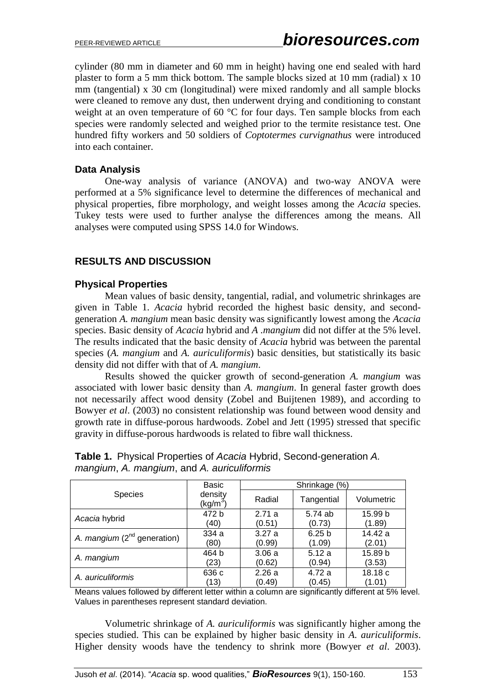cylinder (80 mm in diameter and 60 mm in height) having one end sealed with hard plaster to form a 5 mm thick bottom. The sample blocks sized at 10 mm (radial) x 10 mm (tangential) x 30 cm (longitudinal) were mixed randomly and all sample blocks were cleaned to remove any dust, then underwent drying and conditioning to constant weight at an oven temperature of 60 °C for four days. Ten sample blocks from each species were randomly selected and weighed prior to the termite resistance test. One hundred fifty workers and 50 soldiers of *Coptotermes curvignathus* were introduced into each container.

## **Data Analysis**

One-way analysis of variance (ANOVA) and two-way ANOVA were performed at a 5% significance level to determine the differences of mechanical and physical properties, fibre morphology, and weight losses among the *Acacia* species. Tukey tests were used to further analyse the differences among the means. All analyses were computed using SPSS 14.0 for Windows.

## **RESULTS AND DISCUSSION**

## **Physical Properties**

Mean values of basic density, tangential, radial, and volumetric shrinkages are given in Table 1. *Acacia* hybrid recorded the highest basic density, and secondgeneration *A. mangium* mean basic density was significantly lowest among the *Acacia* species. Basic density of *Acacia* hybrid and *A .mangium* did not differ at the 5% level. The results indicated that the basic density of *Acacia* hybrid was between the parental species (*A. mangium* and *A. auriculiformis*) basic densities, but statistically its basic density did not differ with that of *A. mangium*.

Results showed the quicker growth of second-generation *A. mangium* was associated with lower basic density than *A. mangium*. In general faster growth does not necessarily affect wood density (Zobel and Buijtenen 1989), and according to Bowyer *et al*. (2003) no consistent relationship was found between wood density and growth rate in diffuse-porous hardwoods. Zobel and Jett (1995) stressed that specific gravity in diffuse-porous hardwoods is related to fibre wall thickness.

|                                  | Basic                 | Shrinkage (%) |                   |            |
|----------------------------------|-----------------------|---------------|-------------------|------------|
| <b>Species</b>                   | density<br>(kg/m $^3$ | Radial        | Tangential        | Volumetric |
| Acacia hybrid                    | 472 b                 | 2.71a         | 5.74 ab           | 15.99 b    |
|                                  | (40)                  | (0.51)        | (0.73)            | (1.89)     |
| A. mangium $(2^{nd}$ generation) | 334 a                 | 3.27a         | 6.25 <sub>b</sub> | 14.42 a    |
|                                  | (80)                  | (0.99)        | (1.09)            | (2.01)     |
| A. mangium                       | 464 b                 | 3.06a         | 5.12a             | 15.89 b    |
|                                  | (23)                  | (0.62)        | (0.94)            | (3.53)     |
| A. auriculiformis                | 636 c                 | 2.26a         | 4.72 a            | 18.18 c    |
|                                  | (13)                  | (0.49)        | (0.45)            | (1.01)     |

**Table 1.** Physical Properties of *Acacia* Hybrid, Second-generation *A. mangium*, *A. mangium*, and *A. auriculiformis*

Means values followed by different letter within a column are significantly different at 5% level. Values in parentheses represent standard deviation.

Volumetric shrinkage of *A. auriculiformis* was significantly higher among the species studied. This can be explained by higher basic density in *A. auriculiformis*. Higher density woods have the tendency to shrink more (Bowyer *et al*. 2003).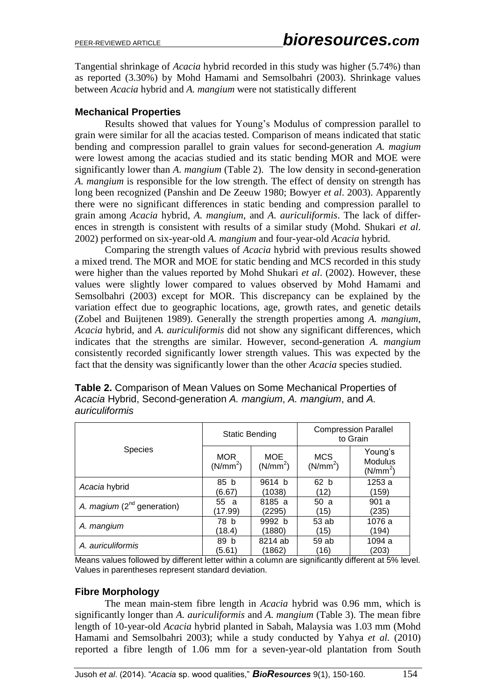Tangential shrinkage of *Acacia* hybrid recorded in this study was higher (5.74%) than as reported (3.30%) by Mohd Hamami and Semsolbahri (2003). Shrinkage values between *Acacia* hybrid and *A. mangium* were not statistically different

## **Mechanical Properties**

Results showed that values for Young's Modulus of compression parallel to grain were similar for all the acacias tested. Comparison of means indicated that static bending and compression parallel to grain values for second-generation *A. magium* were lowest among the acacias studied and its static bending MOR and MOE were significantly lower than *A. mangium* (Table 2). The low density in second-generation *A. mangium* is responsible for the low strength. The effect of density on strength has long been recognized (Panshin and De Zeeuw 1980; Bowyer *et al*. 2003). Apparently there were no significant differences in static bending and compression parallel to grain among *Acacia* hybrid, *A. mangium*, and *A. auriculiformis*. The lack of differences in strength is consistent with results of a similar study (Mohd. Shukari *et al*. 2002) performed on six-year-old *A. mangium* and four-year-old *Acacia* hybrid.

Comparing the strength values of *Acacia* hybrid with previous results showed a mixed trend. The MOR and MOE for static bending and MCS recorded in this study were higher than the values reported by Mohd Shukari *et al*. (2002). However, these values were slightly lower compared to values observed by Mohd Hamami and Semsolbahri (2003) except for MOR. This discrepancy can be explained by the variation effect due to geographic locations, age, growth rates, and genetic details (Zobel and Buijtenen 1989). Generally the strength properties among *A. mangium*, *Acacia* hybrid, and *A. auriculiformis* did not show any significant differences, which indicates that the strengths are similar. However, second-generation *A. mangium*  consistently recorded significantly lower strength values. This was expected by the fact that the density was significantly lower than the other *Acacia* species studied.

|                                 | <b>Static Bending</b>              |                                    | <b>Compression Parallel</b><br>to Grain |                                                   |
|---------------------------------|------------------------------------|------------------------------------|-----------------------------------------|---------------------------------------------------|
| <b>Species</b>                  | <b>MOR</b><br>(N/mm <sup>2</sup> ) | <b>MOE</b><br>(N/mm <sup>2</sup> ) | <b>MCS</b><br>(N/mm <sup>2</sup> )      | Young's<br><b>Modulus</b><br>(N/mm <sup>2</sup> ) |
| Acacia hybrid                   | 85 <sub>b</sub>                    | 9614 b                             | 62 b                                    | 1253 a                                            |
|                                 | (6.67)                             | (1038)                             | (12)                                    | (159)                                             |
| A. magium $(2^{nd}$ generation) | 55a                                | 8185 a                             | 50 a                                    | 901a                                              |
|                                 | (17.99)                            | (2295)                             | (15)                                    | (235)                                             |
| A. mangium                      | 78 b                               | 9992 b                             | 53 ab                                   | 1076 a                                            |
|                                 | (18.4)                             | (1880)                             | (15)                                    | (194)                                             |
| A. auriculiformis               | 89 b                               | 8214 ab                            | 59 ab                                   | 1094 a                                            |
|                                 | (5.61)                             | (1862)                             | (16)                                    | (203)                                             |

**Table 2.** Comparison of Mean Values on Some Mechanical Properties of *Acacia* Hybrid, Second-generation *A. mangium*, *A. mangium*, and *A. auriculiformis*

Means values followed by different letter within a column are significantly different at 5% level. Values in parentheses represent standard deviation.

## **Fibre Morphology**

The mean main-stem fibre length in *Acacia* hybrid was 0.96 mm, which is significantly longer than *A. auriculiformis* and *A. mangium* (Table 3). The mean fibre length of 10-year-old *Acacia* hybrid planted in Sabah, Malaysia was 1.03 mm (Mohd Hamami and Semsolbahri 2003); while a study conducted by Yahya *et al.* (2010) reported a fibre length of 1.06 mm for a seven-year-old plantation from South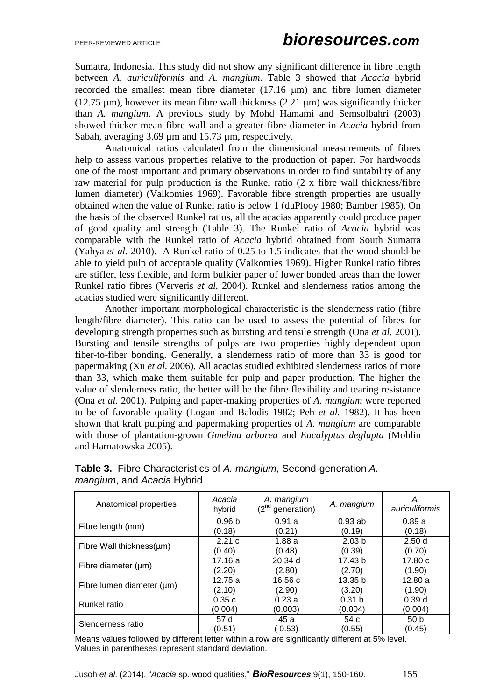Sumatra, Indonesia. This study did not show any significant difference in fibre length between *A. auriculiformis* and *A. mangium*. Table 3 showed that *Acacia* hybrid recorded the smallest mean fibre diameter  $(17.16 \mu m)$  and fibre lumen diameter (12.75  $\mu$ m), however its mean fibre wall thickness (2.21  $\mu$ m) was significantly thicker than *A. mangium*. A previous study by Mohd Hamami and Semsolbahri (2003) showed thicker mean fibre wall and a greater fibre diameter in *Acacia* hybrid from Sabah, averaging 3.69  $\mu$ m and 15.73  $\mu$ m, respectively.

Anatomical ratios calculated from the dimensional measurements of fibres help to assess various properties relative to the production of paper. For hardwoods one of the most important and primary observations in order to find suitability of any raw material for pulp production is the Runkel ratio (2 x fibre wall thickness/fibre lumen diameter) (Valkomies 1969). Favorable fibre strength properties are usually obtained when the value of Runkel ratio is below 1 (duPlooy 1980; Bamber 1985). On the basis of the observed Runkel ratios, all the acacias apparently could produce paper of good quality and strength (Table 3). The Runkel ratio of *Acacia* hybrid was comparable with the Runkel ratio of *Acacia* hybrid obtained from South Sumatra (Yahya *et al.* 2010). A Runkel ratio of 0.25 to 1.5 indicates that the wood should be able to yield pulp of acceptable quality (Valkomies 1969). Higher Runkel ratio fibres are stiffer, less flexible, and form bulkier paper of lower bonded areas than the lower Runkel ratio fibres (Ververis *et al.* 2004). Runkel and slenderness ratios among the acacias studied were significantly different.

Another important morphological characteristic is the slenderness ratio (fibre length/fibre diameter). This ratio can be used to assess the potential of fibres for developing strength properties such as bursting and tensile strength (Ona *et al.* 2001). Bursting and tensile strengths of pulps are two properties highly dependent upon fiber-to-fiber bonding. Generally, a slenderness ratio of more than 33 is good for papermaking (Xu *et al.* 2006). All acacias studied exhibited slenderness ratios of more than 33, which make them suitable for pulp and paper production. The higher the value of slenderness ratio, the better will be the fibre flexibility and tearing resistance (Ona *et al.* 2001). Pulping and paper-making properties of *A. mangium* were reported to be of favorable quality (Logan and Balodis 1982; Peh *et al.* 1982). It has been shown that kraft pulping and papermaking properties of *A. mangium* are comparable with those of plantation-grown *Gmelina arborea* and *Eucalyptus deglupta* (Mohlin and Harnatowska 2005).

| Anatomical properties          | Acacia<br>hybrid  | A. mangium<br>$(2nd$ generation) | A. mangium         | Α.<br>auriculiformis |
|--------------------------------|-------------------|----------------------------------|--------------------|----------------------|
| Fibre length (mm)              | 0.96 <sub>b</sub> | 0.91a                            | $0.93$ ab          | 0.89a                |
|                                | (0.18)            | (0.21)                           | (0.19)             | (0.18)               |
| Fibre Wall thickness( $\mu$ m) | 2.21c             | 1.88a                            | 2.03 <sub>b</sub>  | 2.50 <sub>d</sub>    |
|                                | (0.40)            | (0.48)                           | (0.39)             | (0.70)               |
| Fibre diameter $(\mu m)$       | 17.16a            | 20.34 d                          | 17.43 <sub>b</sub> | 17.80 c              |
|                                | (2.20)            | (2.80)                           | (2.70)             | (1.90)               |
| Fibre lumen diameter (um)      | 12.75a            | 16.56c                           | 13.35 b            | 12.80a               |
|                                | (2.10)            | (2.90)                           | (3.20)             | (1.90)               |
| Runkel ratio                   | 0.35c             | 0.23a                            | 0.31 <sub>b</sub>  | 0.39 <sub>d</sub>    |
|                                | (0.004)           | (0.003)                          | (0.004)            | (0.004)              |
| Slenderness ratio              | 57 d              | 45 a                             | 54 c               | 50 b                 |
|                                | (0.51)            | (0.53)                           | (0.55)             | (0.45)               |

**Table 3.** Fibre Characteristics of *A. mangium,* Second-generation *A. mangium*, and *Acacia* Hybrid

Means values followed by different letter within a row are significantly different at 5% level. Values in parentheses represent standard deviation.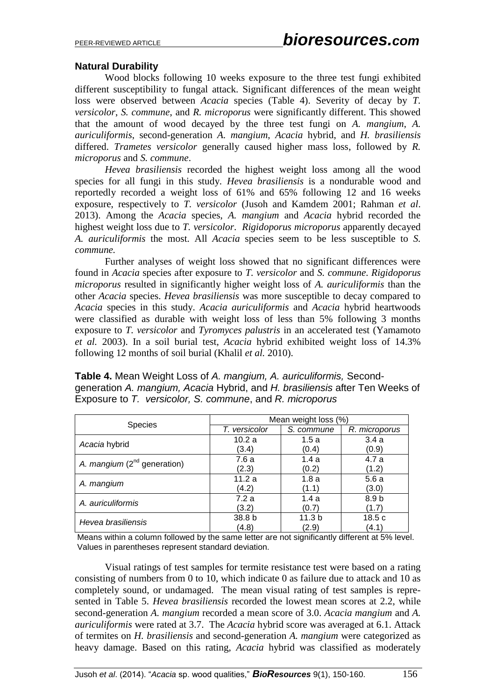## **Natural Durability**

Wood blocks following 10 weeks exposure to the three test fungi exhibited different susceptibility to fungal attack. Significant differences of the mean weight loss were observed between *Acacia* species (Table 4). Severity of decay by *T. versicolor*, *S. commune*, and *R. microporus* were significantly different. This showed that the amount of wood decayed by the three test fungi on *A. mangium*, *A. auriculiformis*, second-generation *A. mangium*, *Acacia* hybrid, and *H. brasiliensis*  differed. *Trametes versicolor* generally caused higher mass loss, followed by *R. microporus* and *S. commune*.

*Hevea brasiliensis* recorded the highest weight loss among all the wood species for all fungi in this study. *Hevea brasiliensis* is a nondurable wood and reportedly recorded a weight loss of 61% and 65% following 12 and 16 weeks exposure, respectively to *T. versicolor* (Jusoh and Kamdem 2001; Rahman *et al*. 2013). Among the *Acacia* species, *A. mangium* and *Acacia* hybrid recorded the highest weight loss due to *T. versicolor*. *Rigidoporus microporus* apparently decayed *A. auriculiformis* the most. All *Acacia* species seem to be less susceptible to *S. commune.* 

Further analyses of weight loss showed that no significant differences were found in *Acacia* species after exposure to *T. versicolor* and *S. commune*. *Rigidoporus microporus* resulted in significantly higher weight loss of *A. auriculiformis* than the other *Acacia* species. *Hevea brasiliensis* was more susceptible to decay compared to *Acacia* species in this study. *Acacia auriculiformis* and *Acacia* hybrid heartwoods were classified as durable with weight loss of less than 5% following 3 months exposure to *T. versicolor* and *Tyromyces palustris* in an accelerated test (Yamamoto *et al.* 2003). In a soil burial test, *Acacia* hybrid exhibited weight loss of 14.3% following 12 months of soil burial (Khalil *et al.* 2010).

|                                         | Mean weight loss (%) |                   |       |  |
|-----------------------------------------|----------------------|-------------------|-------|--|
| <b>Species</b>                          | T. versicolor        | S. commune        |       |  |
| Acacia hybrid                           | 10.2a                | 1.5a              | 3.4a  |  |
|                                         | (3.4)                | (0.4)             | (0.9) |  |
| A. mangium (2 <sup>nd</sup> generation) | 7.6 a                | 1.4a              | 4.7 a |  |
|                                         | (2.3)                | (0.2)             | (1.2) |  |
| A. mangium                              | 11.2a                | 1.8a              | 5.6a  |  |
|                                         | (4.2)                | (1.1)             | (3.0) |  |
| A. auriculiformis                       | 7.2 a                | 1.4a              | 8.9 b |  |
|                                         | (3.2)                | (0.7)             | (1.7) |  |
| Hevea brasiliensis                      | 38.8 b               | 11.3 <sub>b</sub> | 18.5c |  |
|                                         | (4.8)                | (2.9)             | (4.1) |  |

**Table 4.** Mean Weight Loss of *A. mangium, A. auriculiformis,* Secondgeneration *A. mangium, Acacia* Hybrid, and *H. brasiliensis* after Ten Weeks of Exposure to *T. versicolor, S. commune*, and *R. microporus*

Means within a column followed by the same letter are not significantly different at 5% level. Values in parentheses represent standard deviation.

Visual ratings of test samples for termite resistance test were based on a rating consisting of numbers from 0 to 10, which indicate 0 as failure due to attack and 10 as completely sound, or undamaged. The mean visual rating of test samples is represented in Table 5. *Hevea brasiliensis* recorded the lowest mean scores at 2.2, while second-generation *A. mangium* recorded a mean score of 3.0. *Acacia mangium* and *A. auriculiformis* were rated at 3.7. The *Acacia* hybrid score was averaged at 6.1. Attack of termites on *H. brasiliensis* and second-generation *A. mangium* were categorized as heavy damage. Based on this rating, *Acacia* hybrid was classified as moderately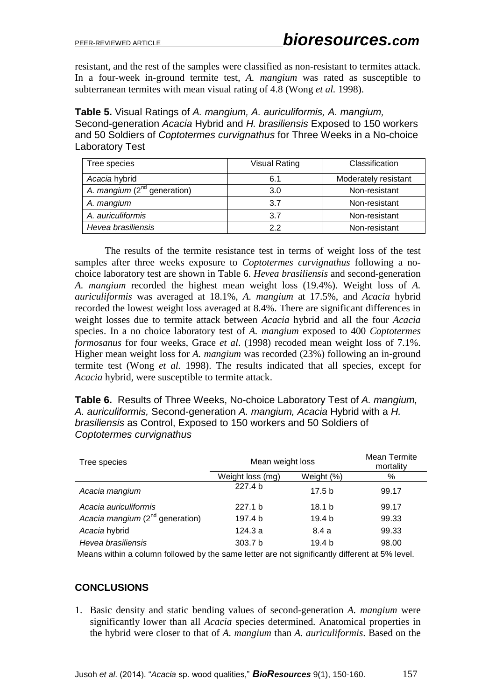resistant, and the rest of the samples were classified as non-resistant to termites attack. In a four-week in-ground termite test, *A. mangium* was rated as susceptible to subterranean termites with mean visual rating of 4.8 (Wong *et al.* 1998).

**Table 5.** Visual Ratings of *A. mangium, A. auriculiformis, A. mangium,* Second-generation *Acacia* Hybrid and *H. brasiliensis* Exposed to 150 workers and 50 Soldiers of *Coptotermes curvignathus* for Three Weeks in a No-choice Laboratory Test

| Tree species                            | <b>Visual Rating</b> | Classification       |
|-----------------------------------------|----------------------|----------------------|
| Acacia hybrid                           | 6.1                  | Moderately resistant |
| A. mangium (2 <sup>nd</sup> generation) | 3.0                  | Non-resistant        |
| A. mangium                              | 3.7                  | Non-resistant        |
| A. auriculiformis                       | 3.7                  | Non-resistant        |
| Hevea brasiliensis                      | 2.2                  | Non-resistant        |

The results of the termite resistance test in terms of weight loss of the test samples after three weeks exposure to *Coptotermes curvignathus* following a nochoice laboratory test are shown in Table 6. *Hevea brasiliensis* and second-generation *A. mangium* recorded the highest mean weight loss (19.4%). Weight loss of *A. auriculiformis* was averaged at 18.1%, *A. mangium* at 17.5%, and *Acacia* hybrid recorded the lowest weight loss averaged at 8.4%. There are significant differences in weight losses due to termite attack between *Acacia* hybrid and all the four *Acacia*  species. In a no choice laboratory test of *A. mangium* exposed to 400 *Coptotermes formosanus* for four weeks, Grace *et al*. (1998) recoded mean weight loss of 7.1%. Higher mean weight loss for *A. mangium* was recorded (23%) following an in-ground termite test (Wong *et al.* 1998). The results indicated that all species, except for *Acacia* hybrid, were susceptible to termite attack.

**Table 6.** Results of Three Weeks, No-choice Laboratory Test of *A. mangium, A. auriculiformis,* Second-generation *A. mangium, Acacia* Hybrid with a *H. brasiliensis* as Control, Exposed to 150 workers and 50 Soldiers of *Coptotermes curvignathus*

| Tree species                                | Mean weight loss   | Mean Termite<br>mortality |       |
|---------------------------------------------|--------------------|---------------------------|-------|
|                                             | Weight loss (mg)   | Weight (%)                | %     |
| Acacia mangium                              | 227.4 <sub>b</sub> | 17.5 <sub>b</sub>         | 99.17 |
| Acacia auriculiformis                       | 227.1 <sub>b</sub> | 18.1 <sub>b</sub>         | 99.17 |
| Acacia mangium (2 <sup>nd</sup> generation) | 197.4 b            | 19.4 b                    | 99.33 |
| Acacia hybrid                               | 124.3a             | 8.4a                      | 99.33 |
| Hevea brasiliensis                          | 303.7 b            | 19.4 <sub>b</sub>         | 98.00 |

Means within a column followed by the same letter are not significantly different at 5% level.

## **CONCLUSIONS**

1. Basic density and static bending values of second-generation *A. mangium* were significantly lower than all *Acacia* species determined. Anatomical properties in the hybrid were closer to that of *A. mangium* than *A. auriculiformis*. Based on the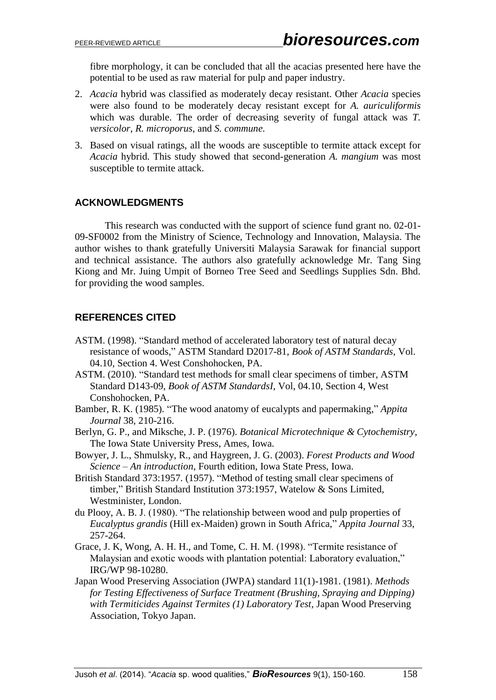fibre morphology, it can be concluded that all the acacias presented here have the potential to be used as raw material for pulp and paper industry.

- 2. *Acacia* hybrid was classified as moderately decay resistant. Other *Acacia* species were also found to be moderately decay resistant except for *A. auriculiformis* which was durable. The order of decreasing severity of fungal attack was *T. versicolor*, *R. microporus*, and *S. commune.*
- 3. Based on visual ratings, all the woods are susceptible to termite attack except for *Acacia* hybrid. This study showed that second-generation *A. mangium* was most susceptible to termite attack.

## **ACKNOWLEDGMENTS**

This research was conducted with the support of science fund grant no. 02-01- 09-SF0002 from the Ministry of Science, Technology and Innovation, Malaysia. The author wishes to thank gratefully Universiti Malaysia Sarawak for financial support and technical assistance. The authors also gratefully acknowledge Mr. Tang Sing Kiong and Mr. Juing Umpit of Borneo Tree Seed and Seedlings Supplies Sdn. Bhd. for providing the wood samples.

## **REFERENCES CITED**

- ASTM. (1998). "Standard method of accelerated laboratory test of natural decay resistance of woods," ASTM Standard D2017-81, *Book of ASTM Standards*, Vol. 04.10, Section 4. West Conshohocken, PA.
- ASTM. (2010). "Standard test methods for small clear specimens of timber, ASTM Standard D143-09, *Book of ASTM StandardsI*, Vol, 04.10, Section 4, West Conshohocken, PA.
- Bamber, R. K. (1985). "The wood anatomy of eucalypts and papermaking," *Appita Journal* 38, 210-216.
- Berlyn, G. P., and Miksche, J. P. (1976). *Botanical Microtechnique & Cytochemistry*, The Iowa State University Press, Ames, Iowa.
- Bowyer, J. L., Shmulsky, R., and Haygreen, J. G. (2003). *Forest Products and Wood Science – An introduction*, Fourth edition, Iowa State Press, Iowa.
- British Standard 373:1957. (1957). "Method of testing small clear specimens of timber," British Standard Institution 373:1957, Watelow & Sons Limited, Westminister, London.
- du Plooy, A. B. J. (1980). "The relationship between wood and pulp properties of *Eucalyptus grandis* (Hill ex-Maiden) grown in South Africa," *Appita Journal* 33, 257-264.
- Grace, J. K, Wong, A. H. H., and Tome, C. H. M. (1998). "Termite resistance of Malaysian and exotic woods with plantation potential: Laboratory evaluation," IRG/WP 98-10280.
- Japan Wood Preserving Association (JWPA) standard 11(1)-1981. (1981). *Methods for Testing Effectiveness of Surface Treatment (Brushing, Spraying and Dipping) with Termiticides Against Termites (1) Laboratory Test*, Japan Wood Preserving Association, Tokyo Japan.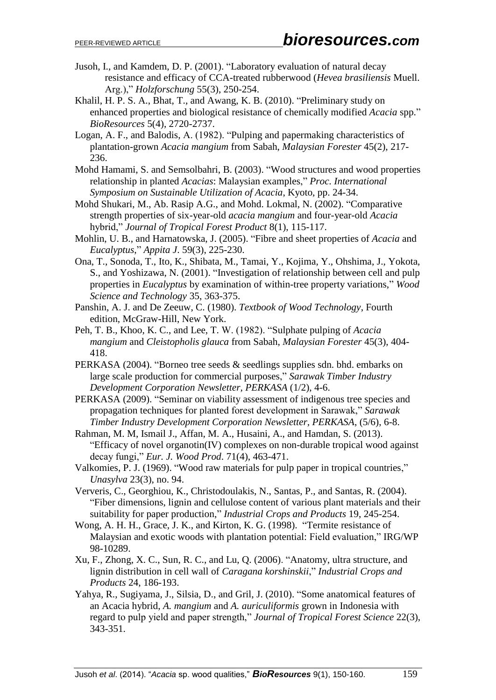- Jusoh, I., and Kamdem, D. P. (2001). "Laboratory evaluation of natural decay resistance and efficacy of CCA-treated rubberwood (*Hevea brasiliensis* Muell. Arg.)," *Holzforschung* 55(3), 250-254.
- Khalil, H. P. S. A., Bhat, T., and Awang, K. B. (2010). "Preliminary study on enhanced properties and biological resistance of chemically modified *Acacia* spp." *BioResources* 5(4), 2720-2737.
- Logan, A. F., and Balodis, A. (1982). "Pulping and papermaking characteristics of plantation-grown *Acacia mangium* from Sabah, *Malaysian Forester* 45(2), 217- 236.
- Mohd Hamami, S. and Semsolbahri, B. (2003). "Wood structures and wood properties relationship in planted *Acacias*: Malaysian examples," *Proc. International Symposium on Sustainable Utilization of Acacia*, Kyoto, pp. 24-34.
- Mohd Shukari, M., Ab. Rasip A.G., and Mohd. Lokmal, N. (2002). "Comparative strength properties of six-year-old *acacia mangium* and four-year-old *Acacia*  hybrid," *Journal of Tropical Forest Product* 8(1), 115-117.
- Mohlin, U. B., and Harnatowska, J. (2005). "Fibre and sheet properties of *Acacia* and *Eucalyptus*," *Appita J*. 59(3), 225-230.
- Ona, T., Sonoda, T., Ito, K., Shibata, M., Tamai, Y., Kojima, Y., Ohshima, J., Yokota, S., and Yoshizawa, N. (2001). "Investigation of relationship between cell and pulp properties in *Eucalyptus* by examination of within-tree property variations," *Wood Science and Technology* 35, 363-375.
- Panshin, A. J. and De Zeeuw, C. (1980). *Textbook of Wood Technology*, Fourth edition, McGraw-Hill, New York.
- Peh, T. B., Khoo, K. C., and Lee, T. W. (1982). "Sulphate pulping of *Acacia mangium* and *Cleistopholis glauca* from Sabah, *Malaysian Forester* 45(3), 404- 418.
- PERKASA (2004). "Borneo tree seeds & seedlings supplies sdn. bhd. embarks on large scale production for commercial purposes," *Sarawak Timber Industry Development Corporation Newsletter, PERKASA* (1/2), 4-6.
- PERKASA (2009). "Seminar on viability assessment of indigenous tree species and propagation techniques for planted forest development in Sarawak," *Sarawak Timber Industry Development Corporation Newsletter, PERKASA*, (5/6), 6-8.
- Rahman, M. M, Ismail J., Affan, M. A., Husaini, A., and Hamdan, S. (2013). "Efficacy of novel organotin(IV) complexes on non-durable tropical wood against decay fungi," *Eur. J. Wood Prod*. 71(4), 463-471.
- Valkomies, P. J. (1969). ["Wood raw materials for pulp paper in tropical countries,](http://www.fao.org/docrep/93269e/93269e02.htm#wood raw materials for pulp paper in tropical countries)" *Unasylva* 23(3), no. 94.
- Ververis, C., Georghiou, K., Christodoulakis, N., Santas, P., and Santas, R. (2004). "Fiber dimensions, lignin and cellulose content of various plant materials and their suitability for paper production," *Industrial Crops and Products* 19, 245-254.
- Wong, A. H. H., Grace, J. K., and Kirton, K. G. (1998). "Termite resistance of Malaysian and exotic woods with plantation potential: Field evaluation," IRG/WP 98-10289.
- Xu, F., Zhong, X. C., Sun, R. C., and Lu, Q. (2006). "Anatomy, ultra structure, and lignin distribution in cell wall of *Caragana korshinskii*," *Industrial Crops and Products* 24, 186-193.
- Yahya, R., Sugiyama, J., Silsia, D., and Gril, J. (2010). "Some anatomical features of an Acacia hybrid, *A. mangium* and *A. auriculiformis* grown in Indonesia with regard to pulp yield and paper strength," *Journal of Tropical Forest Science* 22(3), 343-351.